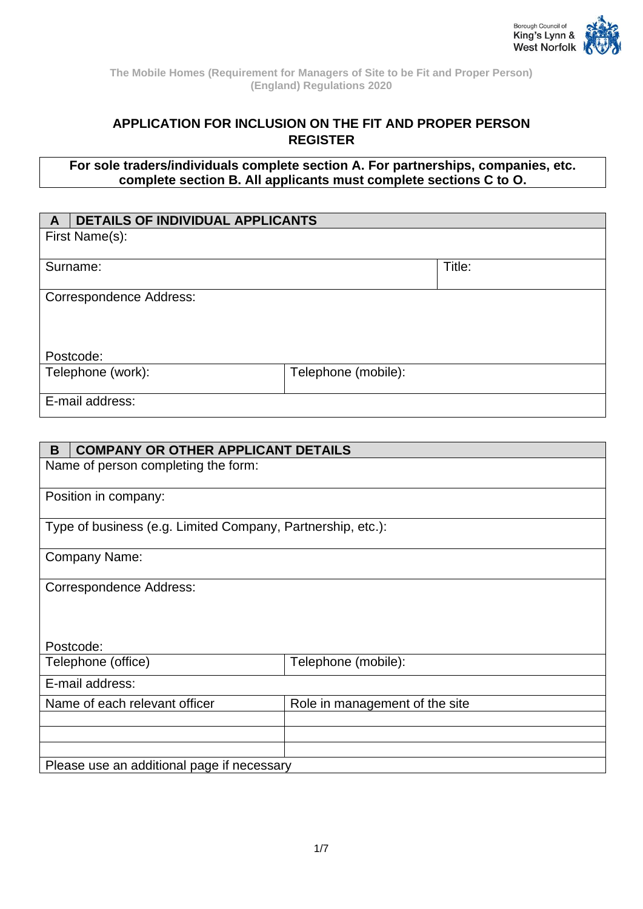

### **APPLICATION FOR INCLUSION ON THE FIT AND PROPER PERSON REGISTER**

**For sole traders/individuals complete section A. For partnerships, companies, etc. complete section B. All applicants must complete sections C to O.**

| A | <b>DETAILS OF INDIVIDUAL APPLICANTS</b> |                     |        |  |  |
|---|-----------------------------------------|---------------------|--------|--|--|
|   | First Name(s):                          |                     |        |  |  |
|   |                                         |                     |        |  |  |
|   | Surname:                                |                     | Title: |  |  |
|   |                                         |                     |        |  |  |
|   | <b>Correspondence Address:</b>          |                     |        |  |  |
|   |                                         |                     |        |  |  |
|   |                                         |                     |        |  |  |
|   |                                         |                     |        |  |  |
|   | Postcode:                               |                     |        |  |  |
|   | Telephone (work):                       | Telephone (mobile): |        |  |  |
|   |                                         |                     |        |  |  |
|   | E-mail address:                         |                     |        |  |  |
|   |                                         |                     |        |  |  |

| <b>COMPANY OR OTHER APPLICANT DETAILS</b><br>B              |                                |  |  |
|-------------------------------------------------------------|--------------------------------|--|--|
| Name of person completing the form:                         |                                |  |  |
| Position in company:                                        |                                |  |  |
| Type of business (e.g. Limited Company, Partnership, etc.): |                                |  |  |
| Company Name:                                               |                                |  |  |
| <b>Correspondence Address:</b>                              |                                |  |  |
| Postcode:                                                   |                                |  |  |
| Telephone (mobile):<br>Telephone (office)                   |                                |  |  |
| E-mail address:                                             |                                |  |  |
| Name of each relevant officer                               | Role in management of the site |  |  |
|                                                             |                                |  |  |
|                                                             |                                |  |  |
| Please use an additional page if necessary                  |                                |  |  |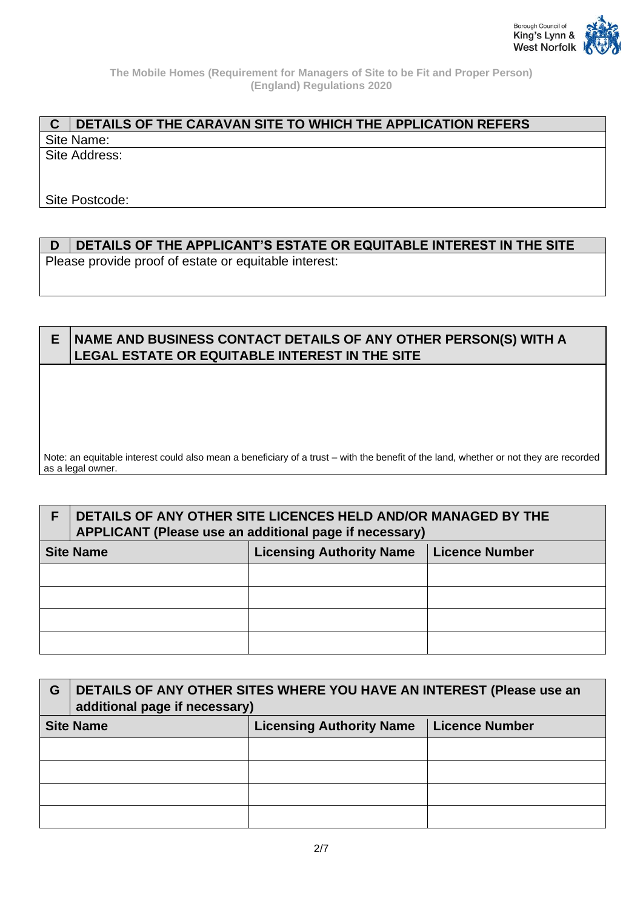

#### **C DETAILS OF THE CARAVAN SITE TO WHICH THE APPLICATION REFERS** Site Name:

Site Address:

Site Postcode:

## **D DETAILS OF THE APPLICANT'S ESTATE OR EQUITABLE INTEREST IN THE SITE**

Please provide proof of estate or equitable interest:

## **E NAME AND BUSINESS CONTACT DETAILS OF ANY OTHER PERSON(S) WITH A LEGAL ESTATE OR EQUITABLE INTEREST IN THE SITE**

Note: an equitable interest could also mean a beneficiary of a trust – with the benefit of the land, whether or not they are recorded as a legal owner.

### **F DETAILS OF ANY OTHER SITE LICENCES HELD AND/OR MANAGED BY THE APPLICANT (Please use an additional page if necessary)**

| <b>Site Name</b> | <b>Licensing Authority Name</b> | Licence Number |
|------------------|---------------------------------|----------------|
|                  |                                 |                |
|                  |                                 |                |
|                  |                                 |                |
|                  |                                 |                |

| G                | DETAILS OF ANY OTHER SITES WHERE YOU HAVE AN INTEREST (Please use an<br>additional page if necessary) |                                 |                       |
|------------------|-------------------------------------------------------------------------------------------------------|---------------------------------|-----------------------|
| <b>Site Name</b> |                                                                                                       | <b>Licensing Authority Name</b> | <b>Licence Number</b> |
|                  |                                                                                                       |                                 |                       |
|                  |                                                                                                       |                                 |                       |
|                  |                                                                                                       |                                 |                       |
|                  |                                                                                                       |                                 |                       |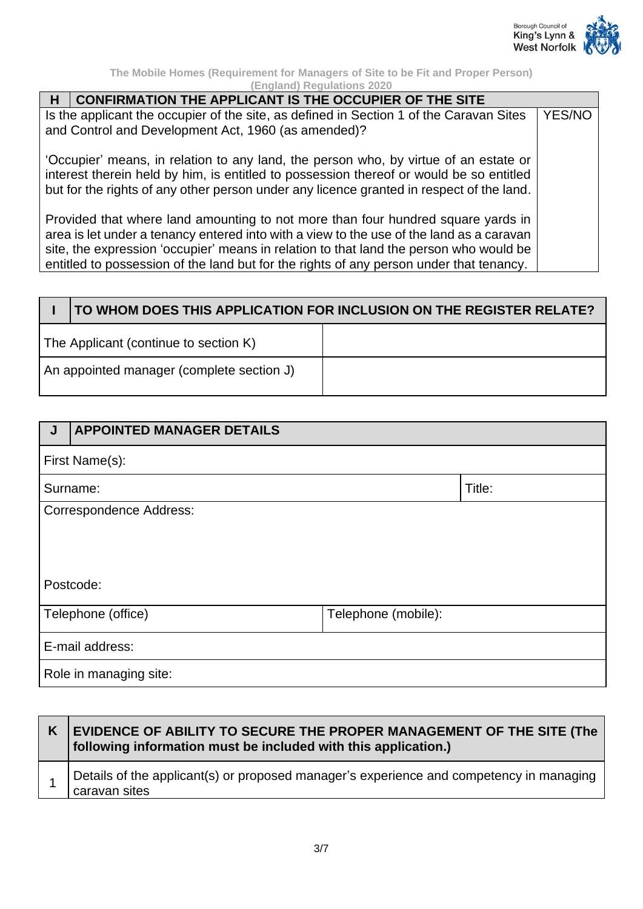

| <b>CONFIRMATION THE APPLICANT IS THE OCCUPIER OF THE SITE</b><br>н                                                                                                                                                                                                          |               |
|-----------------------------------------------------------------------------------------------------------------------------------------------------------------------------------------------------------------------------------------------------------------------------|---------------|
| Is the applicant the occupier of the site, as defined in Section 1 of the Caravan Sites                                                                                                                                                                                     | <b>YES/NO</b> |
| and Control and Development Act, 1960 (as amended)?                                                                                                                                                                                                                         |               |
| 'Occupier' means, in relation to any land, the person who, by virtue of an estate or<br>interest therein held by him, is entitled to possession thereof or would be so entitled<br>but for the rights of any other person under any licence granted in respect of the land. |               |
| Provided that where land amounting to not more than four hundred square yards in<br>area is let under a tenancy entered into with a view to the use of the land as a caravan<br>site, the expression 'occupier' means in relation to that land the person who would be      |               |
| entitled to possession of the land but for the rights of any person under that tenancy.                                                                                                                                                                                     |               |

# **I TO WHOM DOES THIS APPLICATION FOR INCLUSION ON THE REGISTER RELATE?** The Applicant (continue to section K) An appointed manager (complete section J)

| J         | <b>APPOINTED MANAGER DETAILS</b> |                     |  |
|-----------|----------------------------------|---------------------|--|
|           | First Name(s):                   |                     |  |
|           | Title:<br>Surname:               |                     |  |
|           | <b>Correspondence Address:</b>   |                     |  |
|           |                                  |                     |  |
|           |                                  |                     |  |
| Postcode: |                                  |                     |  |
|           | Telephone (office)               | Telephone (mobile): |  |
|           | E-mail address:                  |                     |  |
|           | Role in managing site:           |                     |  |

| K | EVIDENCE OF ABILITY TO SECURE THE PROPER MANAGEMENT OF THE SITE (The<br>following information must be included with this application.) |
|---|----------------------------------------------------------------------------------------------------------------------------------------|
|   | Details of the applicant(s) or proposed manager's experience and competency in managing<br>caravan sites                               |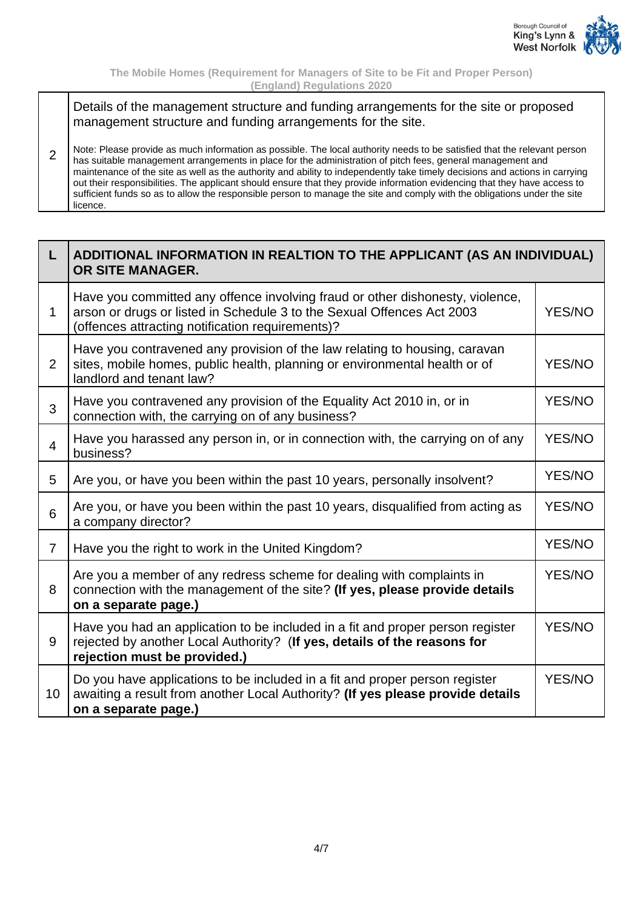

Details of the management structure and funding arrangements for the site or proposed management structure and funding arrangements for the site.

2 Note: Please provide as much information as possible. The local authority needs to be satisfied that the relevant person has suitable management arrangements in place for the administration of pitch fees, general management and maintenance of the site as well as the authority and ability to independently take timely decisions and actions in carrying out their responsibilities. The applicant should ensure that they provide information evidencing that they have access to sufficient funds so as to allow the responsible person to manage the site and comply with the obligations under the site licence.

| L              | ADDITIONAL INFORMATION IN REALTION TO THE APPLICANT (AS AN INDIVIDUAL)<br>OR SITE MANAGER.                                                                                                                  |               |
|----------------|-------------------------------------------------------------------------------------------------------------------------------------------------------------------------------------------------------------|---------------|
| 1              | Have you committed any offence involving fraud or other dishonesty, violence,<br>arson or drugs or listed in Schedule 3 to the Sexual Offences Act 2003<br>(offences attracting notification requirements)? | YES/NO        |
| $\overline{2}$ | Have you contravened any provision of the law relating to housing, caravan<br>sites, mobile homes, public health, planning or environmental health or of<br>landlord and tenant law?                        |               |
| 3              | Have you contravened any provision of the Equality Act 2010 in, or in<br>connection with, the carrying on of any business?                                                                                  | YES/NO        |
| 4              | Have you harassed any person in, or in connection with, the carrying on of any<br>business?                                                                                                                 | YES/NO        |
| 5              | Are you, or have you been within the past 10 years, personally insolvent?                                                                                                                                   | YES/NO        |
| 6              | Are you, or have you been within the past 10 years, disqualified from acting as<br>a company director?                                                                                                      | <b>YES/NO</b> |
| $\overline{7}$ | Have you the right to work in the United Kingdom?                                                                                                                                                           | YES/NO        |
| 8              | Are you a member of any redress scheme for dealing with complaints in<br>connection with the management of the site? (If yes, please provide details<br>on a separate page.)                                | YES/NO        |
| 9              | Have you had an application to be included in a fit and proper person register<br>rejected by another Local Authority? (If yes, details of the reasons for<br>rejection must be provided.)                  | <b>YES/NO</b> |
| 10             | Do you have applications to be included in a fit and proper person register<br>awaiting a result from another Local Authority? (If yes please provide details<br>on a separate page.)                       | YES/NO        |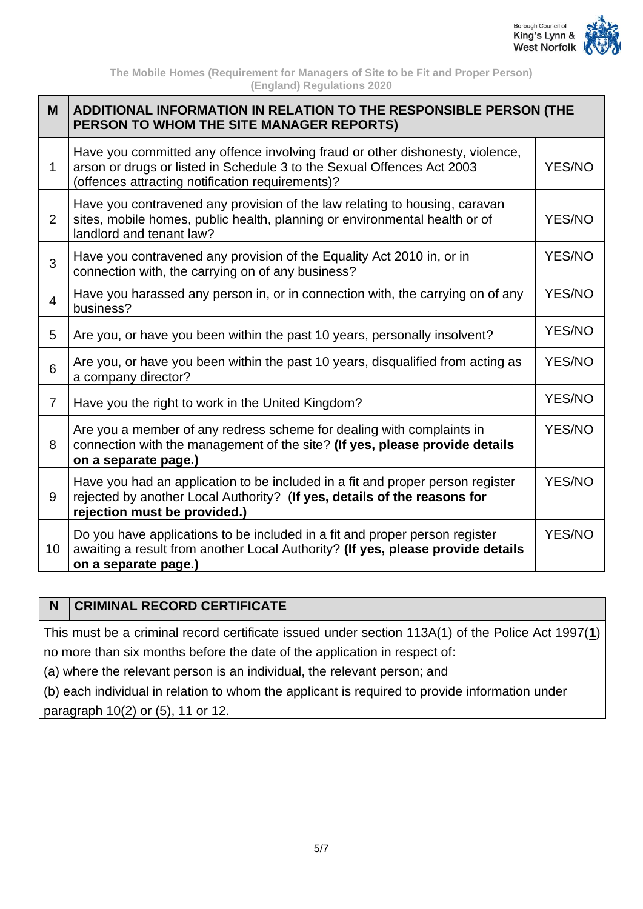

| M              | ADDITIONAL INFORMATION IN RELATION TO THE RESPONSIBLE PERSON (THE<br>PERSON TO WHOM THE SITE MANAGER REPORTS)                                                                                               |               |  |
|----------------|-------------------------------------------------------------------------------------------------------------------------------------------------------------------------------------------------------------|---------------|--|
| 1              | Have you committed any offence involving fraud or other dishonesty, violence,<br>arson or drugs or listed in Schedule 3 to the Sexual Offences Act 2003<br>(offences attracting notification requirements)? | YES/NO        |  |
| $\overline{2}$ | Have you contravened any provision of the law relating to housing, caravan<br>sites, mobile homes, public health, planning or environmental health or of<br>landlord and tenant law?                        | YES/NO        |  |
| 3              | Have you contravened any provision of the Equality Act 2010 in, or in<br>connection with, the carrying on of any business?                                                                                  | YES/NO        |  |
| $\overline{4}$ | Have you harassed any person in, or in connection with, the carrying on of any<br>business?                                                                                                                 | YES/NO        |  |
| 5              | Are you, or have you been within the past 10 years, personally insolvent?                                                                                                                                   | YES/NO        |  |
| 6              | Are you, or have you been within the past 10 years, disqualified from acting as<br>a company director?                                                                                                      | YES/NO        |  |
| $\overline{7}$ | Have you the right to work in the United Kingdom?                                                                                                                                                           | YES/NO        |  |
| 8              | Are you a member of any redress scheme for dealing with complaints in<br>connection with the management of the site? (If yes, please provide details<br>on a separate page.)                                | YES/NO        |  |
| 9              | Have you had an application to be included in a fit and proper person register<br>rejected by another Local Authority? (If yes, details of the reasons for<br>rejection must be provided.)                  | <b>YES/NO</b> |  |
| 10             | Do you have applications to be included in a fit and proper person register<br>awaiting a result from another Local Authority? (If yes, please provide details<br>on a separate page.)                      | YES/NO        |  |

## **N CRIMINAL RECORD CERTIFICATE**

This must be a criminal record certificate issued under section 113A(1) of the Police Act 1997(**[1](https://www.legislation.gov.uk/uksi/2020/1034/schedule/2/made#f00008)**) no more than six months before the date of the application in respect of:

(a) where the relevant person is an individual, the relevant person; and

(b) each individual in relation to whom the applicant is required to provide information under paragraph 10(2) or (5), 11 or 12.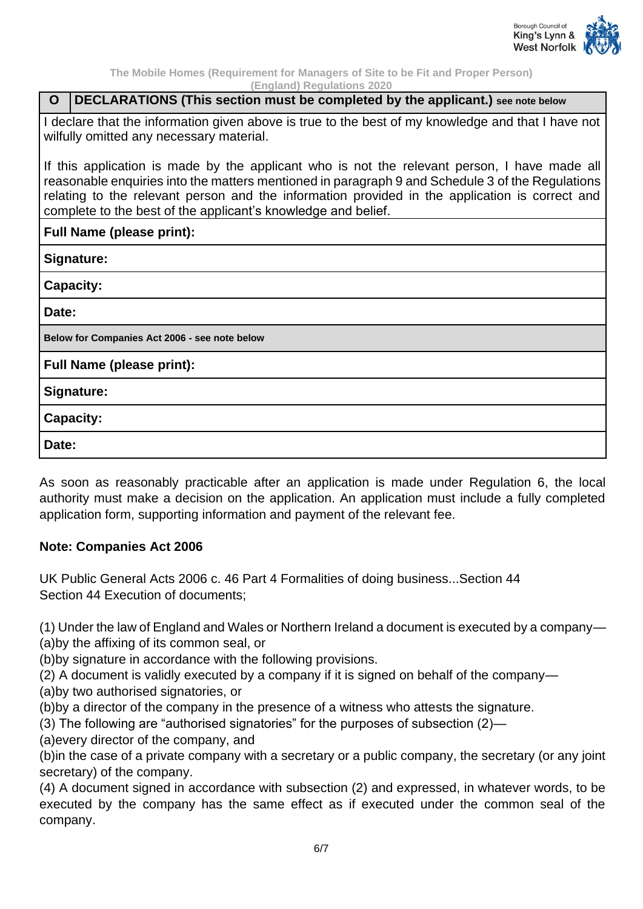

|  | O   DECLARATIONS (This section must be completed by the applicant.) see note below |  |  |  |  |  |  |
|--|------------------------------------------------------------------------------------|--|--|--|--|--|--|
|--|------------------------------------------------------------------------------------|--|--|--|--|--|--|

I declare that the information given above is true to the best of my knowledge and that I have not wilfully omitted any necessary material.

If this application is made by the applicant who is not the relevant person, I have made all reasonable enquiries into the matters mentioned in paragraph 9 and Schedule 3 of the Regulations relating to the relevant person and the information provided in the application is correct and complete to the best of the applicant's knowledge and belief.

**Full Name (please print):**

**Signature:** 

**Capacity:** 

**Date:** 

**Below for Companies Act 2006 - see note below**

**Full Name (please print):**

**Signature:** 

**Capacity:** 

**Date:** 

As soon as reasonably practicable after an application is made under Regulation 6, the local authority must make a decision on the application. An application must include a fully completed application form, supporting information and payment of the relevant fee.

## **Note: Companies Act 2006**

UK Public General Acts 2006 c. 46 Part 4 Formalities of doing business...Section 44 Section 44 Execution of documents;

(1) Under the law of England and Wales or Northern Ireland a document is executed by a company— (a)by the affixing of its common seal, or

(b)by signature in accordance with the following provisions.

(2) A document is validly executed by a company if it is signed on behalf of the company—

(a)by two authorised signatories, or

(b)by a director of the company in the presence of a witness who attests the signature.

(3) The following are "authorised signatories" for the purposes of subsection (2)—

(a)every director of the company, and

(b)in the case of a private company with a secretary or a public company, the secretary (or any joint secretary) of the company.

(4) A document signed in accordance with subsection (2) and expressed, in whatever words, to be executed by the company has the same effect as if executed under the common seal of the company.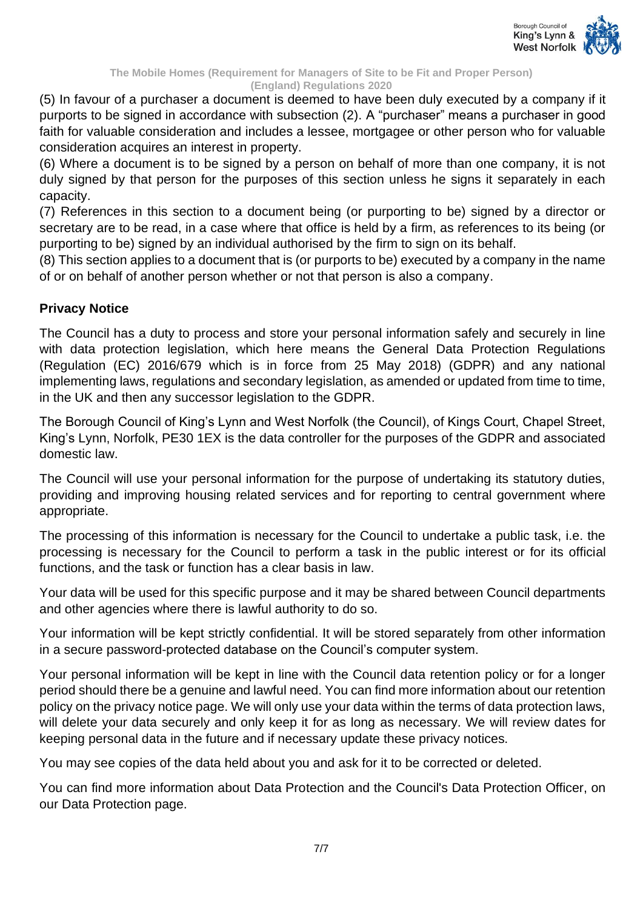

(5) In favour of a purchaser a document is deemed to have been duly executed by a company if it purports to be signed in accordance with subsection (2). A "purchaser" means a purchaser in good faith for valuable consideration and includes a lessee, mortgagee or other person who for valuable consideration acquires an interest in property.

(6) Where a document is to be signed by a person on behalf of more than one company, it is not duly signed by that person for the purposes of this section unless he signs it separately in each capacity.

(7) References in this section to a document being (or purporting to be) signed by a director or secretary are to be read, in a case where that office is held by a firm, as references to its being (or purporting to be) signed by an individual authorised by the firm to sign on its behalf.

(8) This section applies to a document that is (or purports to be) executed by a company in the name of or on behalf of another person whether or not that person is also a company.

## **Privacy Notice**

The Council has a duty to process and store your personal information safely and securely in line with data protection legislation, which here means the General Data Protection Regulations (Regulation (EC) 2016/679 which is in force from 25 May 2018) (GDPR) and any national implementing laws, regulations and secondary legislation, as amended or updated from time to time, in the UK and then any successor legislation to the GDPR.

The Borough Council of King's Lynn and West Norfolk (the Council), of Kings Court, Chapel Street, King's Lynn, Norfolk, PE30 1EX is the data controller for the purposes of the GDPR and associated domestic law.

The Council will use your personal information for the purpose of undertaking its statutory duties, providing and improving housing related services and for reporting to central government where appropriate.

The processing of this information is necessary for the Council to undertake a public task, i.e. the processing is necessary for the Council to perform a task in the public interest or for its official functions, and the task or function has a clear basis in law.

Your data will be used for this specific purpose and it may be shared between Council departments and other agencies where there is lawful authority to do so.

Your information will be kept strictly confidential. It will be stored separately from other information in a secure password-protected database on the Council's computer system.

Your personal information will be kept in line with the Council data retention policy or for a longer period should there be a genuine and lawful need. You can find more information about our retention policy on the privacy notice page. We will only use your data within the terms of data protection laws, will delete your data securely and only keep it for as long as necessary. We will review dates for keeping personal data in the future and if necessary update these privacy notices.

You may see copies of the data held about you and ask for it to be corrected or deleted.

You can find more information about Data Protection and the Council's Data Protection Officer, on our Data Protection page.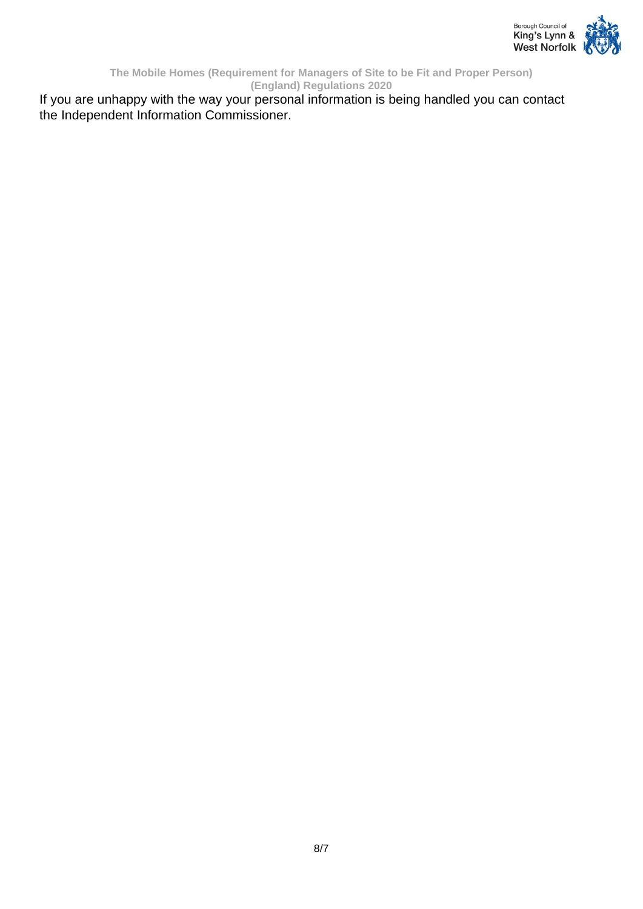

If you are unhappy with the way your personal information is being handled you can contact the Independent Information Commissioner.